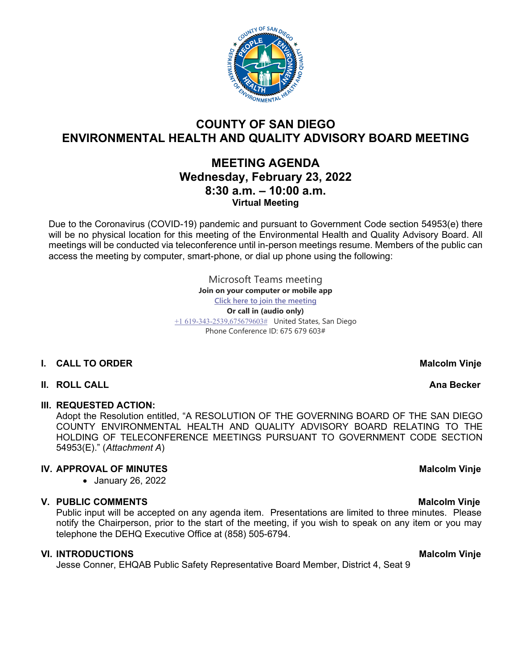

# **COUNTY OF SAN DIEGO ENVIRONMENTAL HEALTH AND QUALITY ADVISORY BOARD MEETING**

# **MEETING AGENDA Wednesday, February 23, 2022 8:30 a.m. – 10:00 a.m. Virtual Meeting**

Due to the Coronavirus (COVID-19) pandemic and pursuant to Government Code section 54953(e) there will be no physical location for this meeting of the Environmental Health and Quality Advisory Board. All meetings will be conducted via teleconference until in-person meetings resume. Members of the public can access the meeting by computer, smart-phone, or dial up phone using the following:

> Microsoft Teams meeting **Join on your computer or mobile app [Click here to join the meeting](https://teams.microsoft.com/l/meetup-join/19%3ameeting_YTBhMzBhYjctMTVmZi00N2ZjLThiMDEtNDIwOTliMTc5YWYz%40thread.v2/0?context=%7b%22Tid%22%3a%224563af13-c029-41b3-b74c-965e8eec8f96%22%2c%22Oid%22%3a%224570e91c-15b4-44d5-a1ca-564bec5e2a6c%22%7d) Or call in (audio only)** [+1 619-343-2539,675679603#](tel:+16193432539,,675679603#%20) United States, San Diego Phone Conference ID: 675 679 603#

# **I.** CALL TO ORDER MALCOLL TO ORDER MALCOLL TO UP A LATE OF A LATE OF A LATE OF A LATE OF A LATE OF A LATE OF A LATE OF A LATE OF A LATE OF A LATE OF A LATE OF A LATE OF A LATE OF A LATE OF A LATE OF A LATE OF A LATE OF A

### **II.** ROLL CALL **AND RESERVE AND RESERVE AND RESERVE AND RESERVE AND RESERVE AND RESERVE AND RESERVE AND RESERVE AND RESERVE AND RESERVE AND RESERVE AND RESERVE AND RESERVE AND RESERVE AND RESERVE AND RESERVE AND RESERVE A**

### **III. REQUESTED ACTION:**

Adopt the Resolution entitled, "A RESOLUTION OF THE GOVERNING BOARD OF THE SAN DIEGO COUNTY ENVIRONMENTAL HEALTH AND QUALITY ADVISORY BOARD RELATING TO THE HOLDING OF TELECONFERENCE MEETINGS PURSUANT TO GOVERNMENT CODE SECTION 54953(E)." (*Attachment A*)

# **IV. APPROVAL OF MINUTES** Malcolm Vinje

• January 26, 2022

# **V. PUBLIC COMMENTS Malcolm Vinje**

Public input will be accepted on any agenda item. Presentations are limited to three minutes. Please notify the Chairperson, prior to the start of the meeting, if you wish to speak on any item or you may telephone the DEHQ Executive Office at (858) 505-6794.

### **VI.** INTRODUCTIONS MALCOLLE THE SECOND VIOLET CONTROLLER MALCOLLE THE MALCOLLE MANUSCRIPT OF MALCOLLER MALCOLLE

Jesse Conner, EHQAB Public Safety Representative Board Member, District 4, Seat 9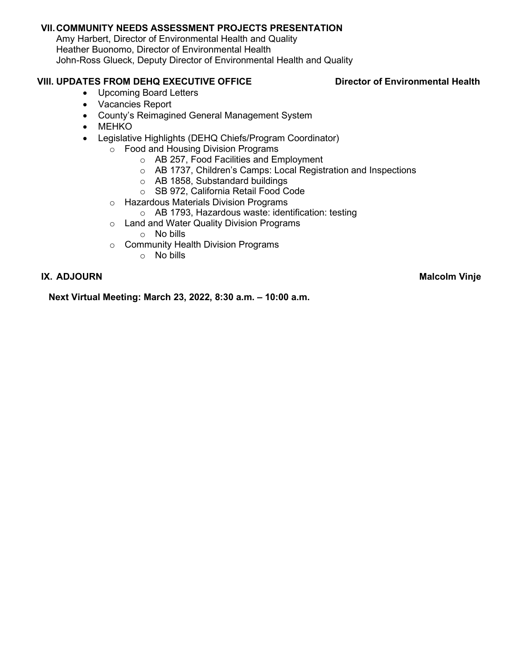## **VII.COMMUNITY NEEDS ASSESSMENT PROJECTS PRESENTATION**

Amy Harbert, Director of Environmental Health and Quality Heather Buonomo, Director of Environmental Health John-Ross Glueck, Deputy Director of Environmental Health and Quality

# **VIII. UPDATES FROM DEHQ EXECUTIVE OFFICE Director of Environmental Health**

- Upcoming Board Letters
- Vacancies Report
- County's Reimagined General Management System
- MEHKO
- Legislative Highlights (DEHQ Chiefs/Program Coordinator)
	- o Food and Housing Division Programs
		- o AB 257, Food Facilities and Employment
		- o AB 1737, Children's Camps: Local Registration and Inspections
		- o AB 1858, Substandard buildings
		- o SB 972, California Retail Food Code
	- o Hazardous Materials Division Programs
		- o AB 1793, Hazardous waste: identification: testing
	- o Land and Water Quality Division Programs o No bills
	- o Community Health Division Programs
		- o No bills

**IX.** ADJOURN Malcolm Vinje

**Next Virtual Meeting: March 23, 2022, 8:30 a.m. – 10:00 a.m.**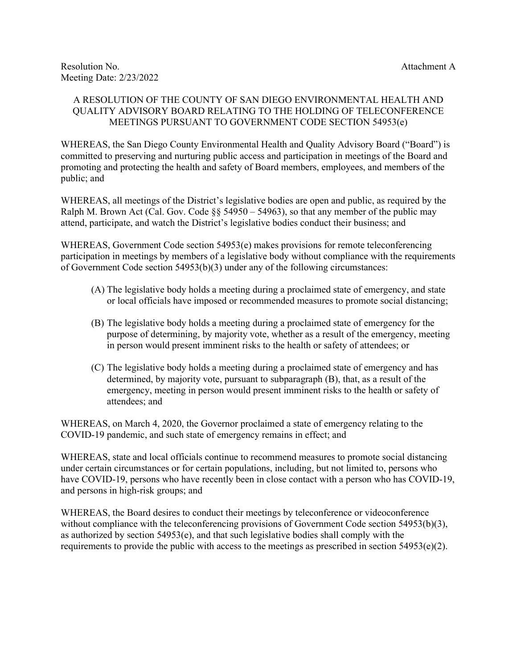### A RESOLUTION OF THE COUNTY OF SAN DIEGO ENVIRONMENTAL HEALTH AND QUALITY ADVISORY BOARD RELATING TO THE HOLDING OF TELECONFERENCE MEETINGS PURSUANT TO GOVERNMENT CODE SECTION 54953(e)

WHEREAS, the San Diego County Environmental Health and Quality Advisory Board ("Board") is committed to preserving and nurturing public access and participation in meetings of the Board and promoting and protecting the health and safety of Board members, employees, and members of the public; and

WHEREAS, all meetings of the District's legislative bodies are open and public, as required by the Ralph M. Brown Act (Cal. Gov. Code  $\S$ § 54950 – 54963), so that any member of the public may attend, participate, and watch the District's legislative bodies conduct their business; and

WHEREAS, Government Code section 54953(e) makes provisions for remote teleconferencing participation in meetings by members of a legislative body without compliance with the requirements of Government Code section 54953(b)(3) under any of the following circumstances:

- (A) The legislative body holds a meeting during a proclaimed state of emergency, and state or local officials have imposed or recommended measures to promote social distancing;
- (B) The legislative body holds a meeting during a proclaimed state of emergency for the purpose of determining, by majority vote, whether as a result of the emergency, meeting in person would present imminent risks to the health or safety of attendees; or
- (C) The legislative body holds a meeting during a proclaimed state of emergency and has determined, by majority vote, pursuant to subparagraph (B), that, as a result of the emergency, meeting in person would present imminent risks to the health or safety of attendees; and

WHEREAS, on March 4, 2020, the Governor proclaimed a state of emergency relating to the COVID-19 pandemic, and such state of emergency remains in effect; and

WHEREAS, state and local officials continue to recommend measures to promote social distancing under certain circumstances or for certain populations, including, but not limited to, persons who have COVID-19, persons who have recently been in close contact with a person who has COVID-19, and persons in high-risk groups; and

WHEREAS, the Board desires to conduct their meetings by teleconference or videoconference without compliance with the teleconferencing provisions of Government Code section 54953(b)(3), as authorized by section 54953(e), and that such legislative bodies shall comply with the requirements to provide the public with access to the meetings as prescribed in section  $54953(e)(2)$ .